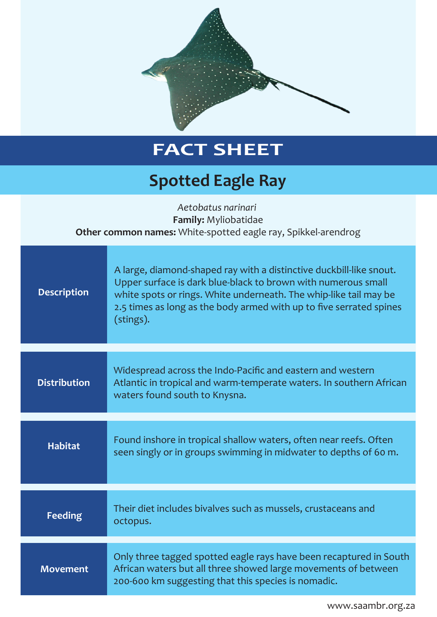

## **FACT SHEET**

## **Spotted Eagle Ray**

| Aetobatus narinari<br><b>Family: Myliobatidae</b><br>Other common names: White-spotted eagle ray, Spikkel-arendrog |                                                                                                                                                                                                                                                                                               |
|--------------------------------------------------------------------------------------------------------------------|-----------------------------------------------------------------------------------------------------------------------------------------------------------------------------------------------------------------------------------------------------------------------------------------------|
| <b>Description</b>                                                                                                 | A large, diamond-shaped ray with a distinctive duckbill-like snout.<br>Upper surface is dark blue-black to brown with numerous small<br>white spots or rings. White underneath. The whip-like tail may be<br>2.5 times as long as the body armed with up to five serrated spines<br>(stings). |
| <b>Distribution</b>                                                                                                | Widespread across the Indo-Pacific and eastern and western<br>Atlantic in tropical and warm-temperate waters. In southern African<br>waters found south to Knysna.                                                                                                                            |
| <b>Habitat</b>                                                                                                     | Found inshore in tropical shallow waters, often near reefs. Often<br>seen singly or in groups swimming in midwater to depths of 60 m.                                                                                                                                                         |
| <b>Feeding</b>                                                                                                     | Their diet includes bivalves such as mussels, crustaceans and<br>octopus.                                                                                                                                                                                                                     |
| <b>Movement</b>                                                                                                    | Only three tagged spotted eagle rays have been recaptured in South<br>African waters but all three showed large movements of between<br>200-600 km suggesting that this species is nomadic.                                                                                                   |

www.saambr.org.za